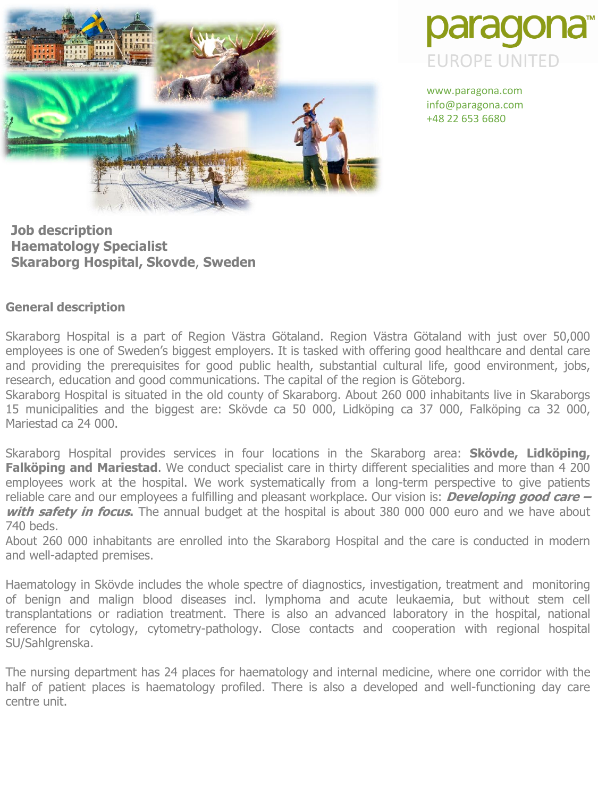



www.paragona.com info@paragona.com +48 22 653 6680

**Job description Haematology Specialist Skaraborg Hospital, Skovde**, **Sweden**

# **General description**

Skaraborg Hospital is a part of Region Västra Götaland. Region Västra Götaland with just over 50,000 employees is one of Sweden's biggest employers. It is tasked with offering good healthcare and dental care and providing the prerequisites for good public health, substantial cultural life, good environment, jobs, research, education and good communications. The capital of the region is Göteborg.

Skaraborg Hospital is situated in the old county of Skaraborg. About 260 000 inhabitants live in Skaraborgs 15 municipalities and the biggest are: Skövde ca 50 000, Lidköping ca 37 000, Falköping ca 32 000, Mariestad ca 24 000.

Skaraborg Hospital provides services in four locations in the Skaraborg area: **Skövde, Lidköping, Falköping and Mariestad**. We conduct specialist care in thirty different specialities and more than 4 200 employees work at the hospital. We work systematically from a long-term perspective to give patients reliable care and our employees a fulfilling and pleasant workplace. Our vision is: **Developing good care – with safety in focus.** The annual budget at the hospital is about 380 000 000 euro and we have about 740 beds.

About 260 000 inhabitants are enrolled into the Skaraborg Hospital and the care is conducted in modern and well-adapted premises.

Haematology in Skövde includes the whole spectre of diagnostics, investigation, treatment and monitoring of benign and malign blood diseases incl. lymphoma and acute leukaemia, but without stem cell transplantations or radiation treatment. There is also an advanced laboratory in the hospital, national reference for cytology, cytometry-pathology. Close contacts and cooperation with regional hospital SU/Sahlgrenska.

The nursing department has 24 places for haematology and internal medicine, where one corridor with the half of patient places is haematology profiled. There is also a developed and well-functioning day care centre unit.